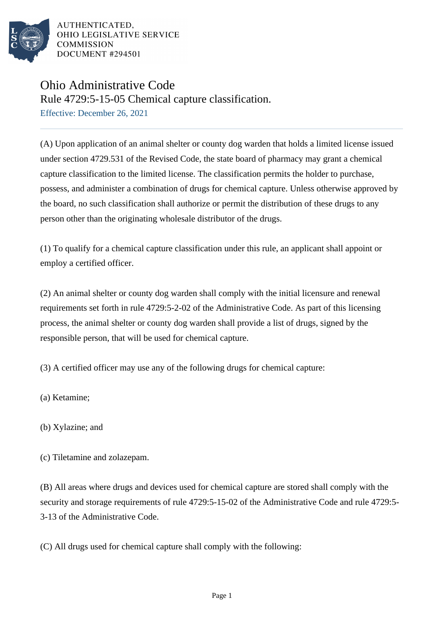

AUTHENTICATED. OHIO LEGISLATIVE SERVICE **COMMISSION DOCUMENT #294501** 

## Ohio Administrative Code

Rule 4729:5-15-05 Chemical capture classification.

Effective: December 26, 2021

(A) Upon application of an animal shelter or county dog warden that holds a limited license issued under section 4729.531 of the Revised Code, the state board of pharmacy may grant a chemical capture classification to the limited license. The classification permits the holder to purchase, possess, and administer a combination of drugs for chemical capture. Unless otherwise approved by the board, no such classification shall authorize or permit the distribution of these drugs to any person other than the originating wholesale distributor of the drugs.

(1) To qualify for a chemical capture classification under this rule, an applicant shall appoint or employ a certified officer.

(2) An animal shelter or county dog warden shall comply with the initial licensure and renewal requirements set forth in rule 4729:5-2-02 of the Administrative Code. As part of this licensing process, the animal shelter or county dog warden shall provide a list of drugs, signed by the responsible person, that will be used for chemical capture.

(3) A certified officer may use any of the following drugs for chemical capture:

(a) Ketamine;

(b) Xylazine; and

(c) Tiletamine and zolazepam.

(B) All areas where drugs and devices used for chemical capture are stored shall comply with the security and storage requirements of rule 4729:5-15-02 of the Administrative Code and rule 4729:5- 3-13 of the Administrative Code.

(C) All drugs used for chemical capture shall comply with the following: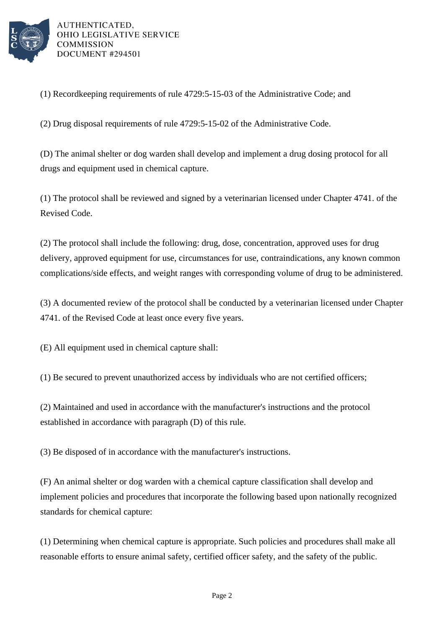

AUTHENTICATED. OHIO LEGISLATIVE SERVICE **COMMISSION DOCUMENT #294501** 

(1) Recordkeeping requirements of rule 4729:5-15-03 of the Administrative Code; and

(2) Drug disposal requirements of rule 4729:5-15-02 of the Administrative Code.

(D) The animal shelter or dog warden shall develop and implement a drug dosing protocol for all drugs and equipment used in chemical capture.

(1) The protocol shall be reviewed and signed by a veterinarian licensed under Chapter 4741. of the Revised Code.

(2) The protocol shall include the following: drug, dose, concentration, approved uses for drug delivery, approved equipment for use, circumstances for use, contraindications, any known common complications/side effects, and weight ranges with corresponding volume of drug to be administered.

(3) A documented review of the protocol shall be conducted by a veterinarian licensed under Chapter 4741. of the Revised Code at least once every five years.

(E) All equipment used in chemical capture shall:

(1) Be secured to prevent unauthorized access by individuals who are not certified officers;

(2) Maintained and used in accordance with the manufacturer's instructions and the protocol established in accordance with paragraph (D) of this rule.

(3) Be disposed of in accordance with the manufacturer's instructions.

(F) An animal shelter or dog warden with a chemical capture classification shall develop and implement policies and procedures that incorporate the following based upon nationally recognized standards for chemical capture:

(1) Determining when chemical capture is appropriate. Such policies and procedures shall make all reasonable efforts to ensure animal safety, certified officer safety, and the safety of the public.